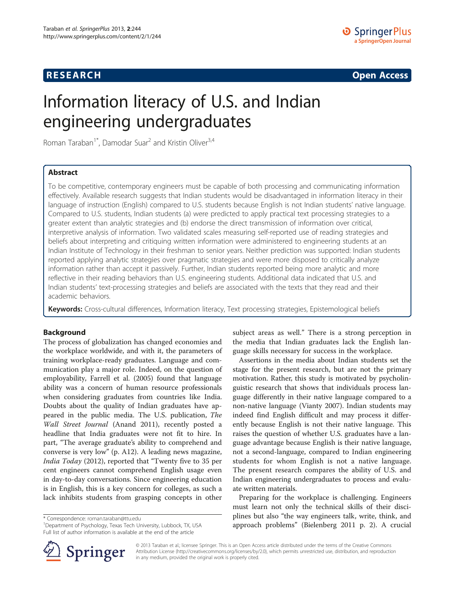## **RESEARCH RESEARCH CONSUMING ACCESS**

# Information literacy of U.S. and Indian engineering undergraduates

Roman Taraban<sup>1\*</sup>, Damodar Suar<sup>2</sup> and Kristin Oliver<sup>3,4</sup>

## Abstract

To be competitive, contemporary engineers must be capable of both processing and communicating information effectively. Available research suggests that Indian students would be disadvantaged in information literacy in their language of instruction (English) compared to U.S. students because English is not Indian students' native language. Compared to U.S. students, Indian students (a) were predicted to apply practical text processing strategies to a greater extent than analytic strategies and (b) endorse the direct transmission of information over critical, interpretive analysis of information. Two validated scales measuring self-reported use of reading strategies and beliefs about interpreting and critiquing written information were administered to engineering students at an Indian Institute of Technology in their freshman to senior years. Neither prediction was supported: Indian students reported applying analytic strategies over pragmatic strategies and were more disposed to critically analyze information rather than accept it passively. Further, Indian students reported being more analytic and more reflective in their reading behaviors than U.S. engineering students. Additional data indicated that U.S. and Indian students' text-processing strategies and beliefs are associated with the texts that they read and their academic behaviors.

Keywords: Cross-cultural differences, Information literacy, Text processing strategies, Epistemological beliefs

## Background

The process of globalization has changed economies and the workplace worldwide, and with it, the parameters of training workplace-ready graduates. Language and communication play a major role. Indeed, on the question of employability, Farrell et al. ([2005\)](#page-10-0) found that language ability was a concern of human resource professionals when considering graduates from countries like India. Doubts about the quality of Indian graduates have appeared in the public media. The U.S. publication, The Wall Street Journal (Anand [2011\)](#page-10-0), recently posted a headline that India graduates were not fit to hire. In part, "The average graduate's ability to comprehend and converse is very low" (p. A12). A leading news magazine, India Today ([2012\)](#page-11-0), reported that "Twenty five to 35 per cent engineers cannot comprehend English usage even in day-to-day conversations. Since engineering education is in English, this is a key concern for colleges, as such a lack inhibits students from grasping concepts in other

\* Correspondence: [roman.taraban@ttu.edu](mailto:roman.taraban@ttu.edu) <sup>1</sup>

Department of Psychology, Texas Tech University, Lubbock, TX, USA Full list of author information is available at the end of the article



Assertions in the media about Indian students set the stage for the present research, but are not the primary motivation. Rather, this study is motivated by psycholinguistic research that shows that individuals process language differently in their native language compared to a non-native language (Vianty [2007\)](#page-11-0). Indian students may indeed find English difficult and may process it differently because English is not their native language. This raises the question of whether U.S. graduates have a language advantage because English is their native language, not a second-language, compared to Indian engineering students for whom English is not a native language. The present research compares the ability of U.S. and Indian engineering undergraduates to process and evaluate written materials.

Preparing for the workplace is challenging. Engineers must learn not only the technical skills of their disciplines but also "the way engineers talk, write, think, and approach problems" (Bielenberg [2011](#page-10-0) p. 2). A crucial



© 2013 Taraban et al.; licensee Springer. This is an Open Access article distributed under the terms of the Creative Commons Attribution License [\(http://creativecommons.org/licenses/by/2.0\)](http://creativecommons.org/licenses/by/2.0), which permits unrestricted use, distribution, and reproduction in any medium, provided the original work is properly cited.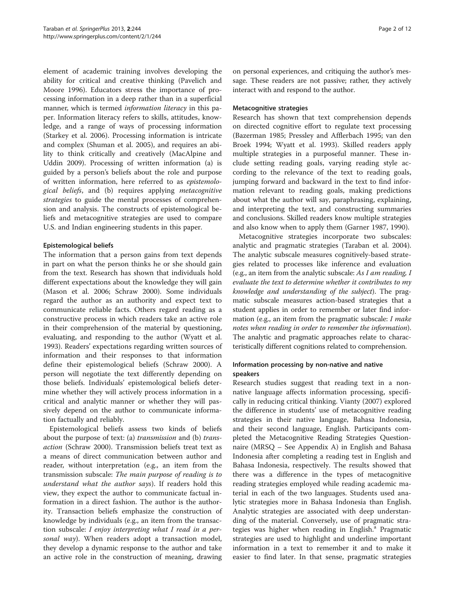element of academic training involves developing the ability for critical and creative thinking (Pavelich and Moore [1996\)](#page-11-0). Educators stress the importance of processing information in a deep rather than in a superficial manner, which is termed *information literacy* in this paper. Information literacy refers to skills, attitudes, knowledge, and a range of ways of processing information (Starkey et al. [2006\)](#page-11-0). Processing information is intricate and complex (Shuman et al. [2005](#page-11-0)), and requires an ability to think critically and creatively (MacAlpine and Uddin [2009](#page-11-0)). Processing of written information (a) is guided by a person's beliefs about the role and purpose of written information, here referred to as epistemological beliefs, and (b) requires applying metacognitive strategies to guide the mental processes of comprehension and analysis. The constructs of epistemological beliefs and metacognitive strategies are used to compare U.S. and Indian engineering students in this paper.

## Epistemological beliefs

The information that a person gains from text depends in part on what the person thinks he or she should gain from the text. Research has shown that individuals hold different expectations about the knowledge they will gain (Mason et al. [2006](#page-11-0); Schraw [2000](#page-11-0)). Some individuals regard the author as an authority and expect text to communicate reliable facts. Others regard reading as a constructive process in which readers take an active role in their comprehension of the material by questioning, evaluating, and responding to the author (Wyatt et al. [1993](#page-11-0)). Readers' expectations regarding written sources of information and their responses to that information define their epistemological beliefs (Schraw [2000](#page-11-0)). A person will negotiate the text differently depending on those beliefs. Individuals' epistemological beliefs determine whether they will actively process information in a critical and analytic manner or whether they will passively depend on the author to communicate information factually and reliably.

Epistemological beliefs assess two kinds of beliefs about the purpose of text: (a) *transmission* and (b) *trans*action (Schraw [2000](#page-11-0)). Transmission beliefs treat text as a means of direct communication between author and reader, without interpretation (e.g., an item from the transmission subscale: The main purpose of reading is to understand what the author says). If readers hold this view, they expect the author to communicate factual information in a direct fashion. The author is the authority. Transaction beliefs emphasize the construction of knowledge by individuals (e.g., an item from the transaction subscale: I enjoy interpreting what I read in a personal way). When readers adopt a transaction model, they develop a dynamic response to the author and take an active role in the construction of meaning, drawing

on personal experiences, and critiquing the author's message. These readers are not passive; rather, they actively interact with and respond to the author.

## Metacognitive strategies

Research has shown that text comprehension depends on directed cognitive effort to regulate text processing (Bazerman [1985](#page-10-0); Pressley and Afflerbach [1995](#page-11-0); van den Broek [1994;](#page-11-0) Wyatt et al. [1993\)](#page-11-0). Skilled readers apply multiple strategies in a purposeful manner. These include setting reading goals, varying reading style according to the relevance of the text to reading goals, jumping forward and backward in the text to find information relevant to reading goals, making predictions about what the author will say, paraphrasing, explaining, and interpreting the text, and constructing summaries and conclusions. Skilled readers know multiple strategies and also know when to apply them (Garner [1987](#page-11-0), [1990\)](#page-11-0).

Metacognitive strategies incorporate two subscales: analytic and pragmatic strategies (Taraban et al. [2004](#page-11-0)). The analytic subscale measures cognitively-based strategies related to processes like inference and evaluation (e.g., an item from the analytic subscale: As I am reading, I evaluate the text to determine whether it contributes to my knowledge and understanding of the subject). The pragmatic subscale measures action-based strategies that a student applies in order to remember or later find information (e.g., an item from the pragmatic subscale: *I make* notes when reading in order to remember the information). The analytic and pragmatic approaches relate to characteristically different cognitions related to comprehension.

## Information processing by non-native and native speakers

Research studies suggest that reading text in a nonnative language affects information processing, specifically in reducing critical thinking. Vianty ([2007](#page-11-0)) explored the difference in students' use of metacognitive reading strategies in their native language, Bahasa Indonesia, and their second language, English. Participants completed the Metacognitive Reading Strategies Questionnaire (MRSQ – See Appendix [A](#page-9-0)) in English and Bahasa Indonesia after completing a reading test in English and Bahasa Indonesia, respectively. The results showed that there was a difference in the types of metacognitive reading strategies employed while reading academic material in each of the two languages. Students used analytic strategies more in Bahasa Indonesia than English. Analytic strategies are associated with deep understanding of the material. Conversely, use of pragmatic strategies was higher when reading in English.<sup>a</sup> Pragmatic strategies are used to highlight and underline important information in a text to remember it and to make it easier to find later. In that sense, pragmatic strategies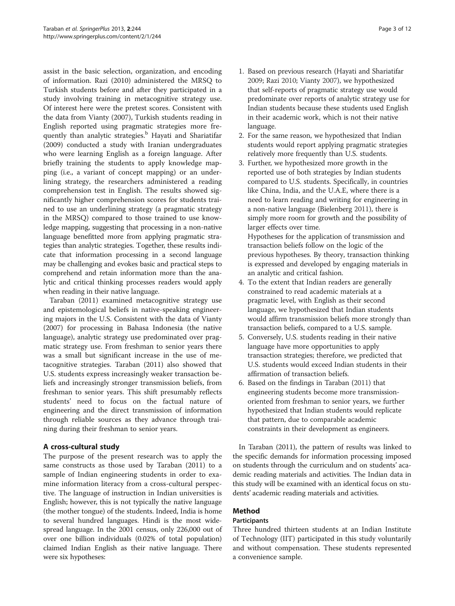assist in the basic selection, organization, and encoding of information. Razi ([2010](#page-11-0)) administered the MRSQ to Turkish students before and after they participated in a study involving training in metacognitive strategy use. Of interest here were the pretest scores. Consistent with the data from Vianty ([2007](#page-11-0)), Turkish students reading in English reported using pragmatic strategies more frequently than analytic strategies.<sup>b</sup> Hayati and Shariatifar ([2009](#page-11-0)) conducted a study with Iranian undergraduates who were learning English as a foreign language. After briefly training the students to apply knowledge mapping (i.e., a variant of concept mapping) or an underlining strategy, the researchers administered a reading comprehension test in English. The results showed significantly higher comprehension scores for students trained to use an underlining strategy (a pragmatic strategy in the MRSQ) compared to those trained to use knowledge mapping, suggesting that processing in a non-native language benefitted more from applying pragmatic strategies than analytic strategies. Together, these results indicate that information processing in a second language may be challenging and evokes basic and practical steps to comprehend and retain information more than the analytic and critical thinking processes readers would apply when reading in their native language.

Taraban ([2011\)](#page-11-0) examined metacognitive strategy use and epistemological beliefs in native-speaking engineering majors in the U.S. Consistent with the data of Vianty ([2007](#page-11-0)) for processing in Bahasa Indonesia (the native language), analytic strategy use predominated over pragmatic strategy use. From freshman to senior years there was a small but significant increase in the use of metacognitive strategies. Taraban [\(2011\)](#page-11-0) also showed that U.S. students express increasingly weaker transaction beliefs and increasingly stronger transmission beliefs, from freshman to senior years. This shift presumably reflects students' need to focus on the factual nature of engineering and the direct transmission of information through reliable sources as they advance through training during their freshman to senior years.

## A cross-cultural study

The purpose of the present research was to apply the same constructs as those used by Taraban [\(2011\)](#page-11-0) to a sample of Indian engineering students in order to examine information literacy from a cross-cultural perspective. The language of instruction in Indian universities is English; however, this is not typically the native language (the mother tongue) of the students. Indeed, India is home to several hundred languages. Hindi is the most widespread language. In the 2001 census, only 226,000 out of over one billion individuals (0.02% of total population) claimed Indian English as their native language. There were six hypotheses:

- 1. Based on previous research (Hayati and Shariatifar [2009;](#page-11-0) Razi [2010;](#page-11-0) Vianty [2007](#page-11-0)), we hypothesized that self-reports of pragmatic strategy use would predominate over reports of analytic strategy use for Indian students because these students used English in their academic work, which is not their native language.
- 2. For the same reason, we hypothesized that Indian students would report applying pragmatic strategies relatively more frequently than U.S. students.
- 3. Further, we hypothesized more growth in the reported use of both strategies by Indian students compared to U.S. students. Specifically, in countries like China, India, and the U.A.E, where there is a need to learn reading and writing for engineering in a non-native language (Bielenberg [2011](#page-10-0)), there is simply more room for growth and the possibility of larger effects over time. Hypotheses for the application of transmission and transaction beliefs follow on the logic of the

previous hypotheses. By theory, transaction thinking is expressed and developed by engaging materials in an analytic and critical fashion.

- 4. To the extent that Indian readers are generally constrained to read academic materials at a pragmatic level, with English as their second language, we hypothesized that Indian students would affirm transmission beliefs more strongly than transaction beliefs, compared to a U.S. sample.
- 5. Conversely, U.S. students reading in their native language have more opportunities to apply transaction strategies; therefore, we predicted that U.S. students would exceed Indian students in their affirmation of transaction beliefs.
- 6. Based on the findings in Taraban [\(2011\)](#page-11-0) that engineering students become more transmissionoriented from freshman to senior years, we further hypothesized that Indian students would replicate that pattern, due to comparable academic constraints in their development as engineers.

In Taraban [\(2011\)](#page-11-0), the pattern of results was linked to the specific demands for information processing imposed on students through the curriculum and on students' academic reading materials and activities. The Indian data in this study will be examined with an identical focus on students' academic reading materials and activities.

## Method

## **Participants**

Three hundred thirteen students at an Indian Institute of Technology (IIT) participated in this study voluntarily and without compensation. These students represented a convenience sample.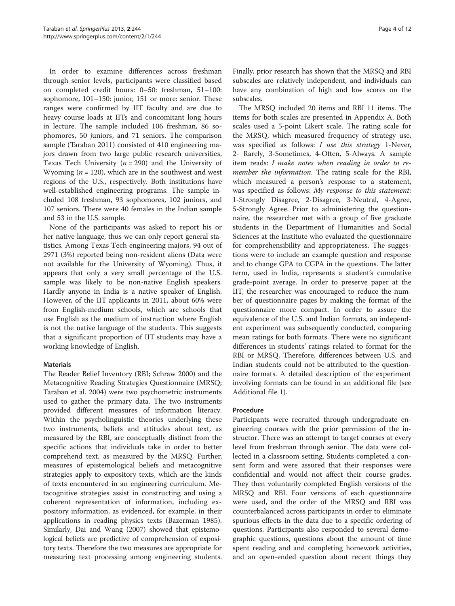In order to examine differences across freshman through senior levels, participants were classified based on completed credit hours: 0–50: freshman, 51–100: sophomore, 101–150: junior, 151 or more: senior. These ranges were confirmed by IIT faculty and are due to heavy course loads at IITs and concomitant long hours in lecture. The sample included 106 freshman, 86 sophomores, 50 juniors, and 71 seniors. The comparison sample (Taraban [2011](#page-11-0)) consisted of 410 engineering majors drawn from two large public research universities, Texas Tech University ( $n = 290$ ) and the University of Wyoming ( $n = 120$ ), which are in the southwest and west regions of the U.S., respectively. Both institutions have well-established engineering programs. The sample included 108 freshman, 93 sophomores, 102 juniors, and 107 seniors. There were 40 females in the Indian sample and 53 in the U.S. sample.

None of the participants was asked to report his or her native language, thus we can only report general statistics. Among Texas Tech engineering majors, 94 out of 2971 (3%) reported being non-resident aliens (Data were not available for the University of Wyoming). Thus, it appears that only a very small percentage of the U.S. sample was likely to be non-native English speakers. Hardly anyone in India is a native speaker of English. However, of the IIT applicants in 2011, about 60% were from English-medium schools, which are schools that use English as the medium of instruction where English is not the native language of the students. This suggests that a significant proportion of IIT students may have a working knowledge of English.

## Materials

The Reader Belief Inventory (RBI; Schraw [2000\)](#page-11-0) and the Metacognitive Reading Strategies Questionnaire (MRSQ; Taraban et al. [2004\)](#page-11-0) were two psychometric instruments used to gather the primary data. The two instruments provided different measures of information literacy. Within the psycholinguistic theories underlying these two instruments, beliefs and attitudes about text, as measured by the RBI, are conceptually distinct from the specific actions that individuals take in order to better comprehend text, as measured by the MRSQ. Further, measures of epistemological beliefs and metacognitive strategies apply to expository texts, which are the kinds of texts encountered in an engineering curriculum. Metacognitive strategies assist in constructing and using a coherent representation of information, including expository information, as evidenced, for example, in their applications in reading physics texts (Bazerman [1985](#page-10-0)). Similarly, Dai and Wang [\(2007\)](#page-10-0) showed that epistemological beliefs are predictive of comprehension of expository texts. Therefore the two measures are appropriate for measuring text processing among engineering students. Finally, prior research has shown that the MRSQ and RBI subscales are relatively independent, and individuals can have any combination of high and low scores on the subscales.

The MRSQ included 20 items and RBI 11 items. The items for both scales are presented in Appendix [A.](#page-9-0) Both scales used a 5-point Likert scale. The rating scale for the MRSQ, which measured frequency of strategy use, was specified as follows: *I use this strategy* 1-Never, 2- Rarely, 3-Sometimes, 4-Often, 5-Always. A sample item reads: I make notes when reading in order to remember the information. The rating scale for the RBI, which measured a person's response to a statement, was specified as follows: My response to this statement: 1-Strongly Disagree, 2-Disagree, 3-Neutral, 4-Agree, 5-Strongly Agree. Prior to administering the questionnaire, the researcher met with a group of five graduate students in the Department of Humanities and Social Sciences at the Institute who evaluated the questionnaire for comprehensibility and appropriateness. The suggestions were to include an example question and response and to change GPA to CGPA in the questions. The latter term, used in India, represents a student's cumulative grade-point average. In order to preserve paper at the IIT, the researcher was encouraged to reduce the number of questionnaire pages by making the format of the questionnaire more compact. In order to assure the equivalence of the U.S. and Indian formats, an independent experiment was subsequently conducted, comparing mean ratings for both formats. There were no significant differences in students' ratings related to format for the RBI or MRSQ. Therefore, differences between U.S. and Indian students could not be attributed to the questionnaire formats. A detailed description of the experiment involving formats can be found in an additional file (see Additional file [1](#page-10-0)).

## Procedure

Participants were recruited through undergraduate engineering courses with the prior permission of the instructor. There was an attempt to target courses at every level from freshman through senior. The data were collected in a classroom setting. Students completed a consent form and were assured that their responses were confidential and would not affect their course grades. They then voluntarily completed English versions of the MRSQ and RBI. Four versions of each questionnaire were used, and the order of the MRSQ and RBI was counterbalanced across participants in order to eliminate spurious effects in the data due to a specific ordering of questions. Participants also responded to several demographic questions, questions about the amount of time spent reading and and completing homework activities, and an open-ended question about recent things they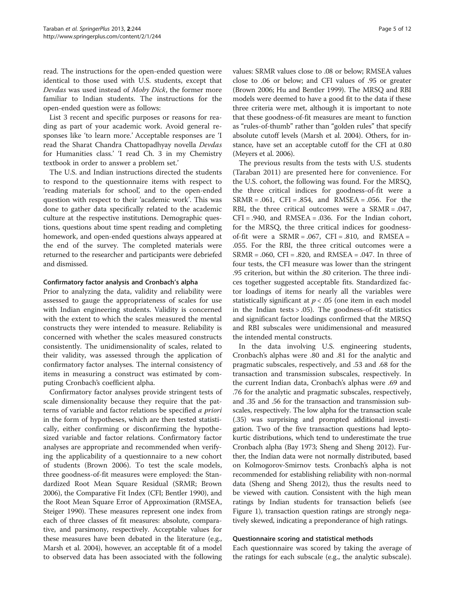read. The instructions for the open-ended question were identical to those used with U.S. students, except that Devdas was used instead of Moby Dick, the former more familiar to Indian students. The instructions for the open-ended question were as follows:

List 3 recent and specific purposes or reasons for reading as part of your academic work. Avoid general responses like 'to learn more.' Acceptable responses are 'I read the Sharat Chandra Chattopadhyay novella Devdas for Humanities class.' 'I read Ch. 3 in my Chemistry textbook in order to answer a problem set.'

The U.S. and Indian instructions directed the students to respond to the questionnaire items with respect to 'reading materials for school', and to the open-ended question with respect to their 'academic work'. This was done to gather data specifically related to the academic culture at the respective institutions. Demographic questions, questions about time spent reading and completing homework, and open-ended questions always appeared at the end of the survey. The completed materials were returned to the researcher and participants were debriefed and dismissed.

#### Confirmatory factor analysis and Cronbach's alpha

Prior to analyzing the data, validity and reliability were assessed to gauge the appropriateness of scales for use with Indian engineering students. Validity is concerned with the extent to which the scales measured the mental constructs they were intended to measure. Reliability is concerned with whether the scales measured constructs consistently. The unidimensionality of scales, related to their validity, was assessed through the application of confirmatory factor analyses. The internal consistency of items in measuring a construct was estimated by computing Cronbach's coefficient alpha.

Confirmatory factor analyses provide stringent tests of scale dimensionality because they require that the patterns of variable and factor relations be specified a priori in the form of hypotheses, which are then tested statistically, either confirming or disconfirming the hypothesized variable and factor relations. Confirmatory factor analyses are appropriate and recommended when verifying the applicability of a questionnaire to a new cohort of students (Brown [2006](#page-10-0)). To test the scale models, three goodness-of-fit measures were employed: the Standardized Root Mean Square Residual (SRMR; Brown [2006\)](#page-10-0), the Comparative Fit Index (CFI; Bentler [1990\)](#page-10-0), and the Root Mean Square Error of Approximation (RMSEA, Steiger [1990](#page-11-0)). These measures represent one index from each of three classes of fit measures: absolute, comparative, and parsimony, respectively. Acceptable values for these measures have been debated in the literature (e.g., Marsh et al. [2004\)](#page-11-0), however, an acceptable fit of a model to observed data has been associated with the following values: SRMR values close to .08 or below; RMSEA values close to .06 or below; and CFI values of .95 or greater (Brown [2006;](#page-10-0) Hu and Bentler [1999](#page-11-0)). The MRSQ and RBI models were deemed to have a good fit to the data if these three criteria were met, although it is important to note that these goodness-of-fit measures are meant to function as "rules-of-thumb" rather than "golden rules" that specify absolute cutoff levels (Marsh et al. [2004\)](#page-11-0). Others, for instance, have set an acceptable cutoff for the CFI at 0.80 (Meyers et al. [2006](#page-11-0)).

The previous results from the tests with U.S. students (Taraban [2011](#page-11-0)) are presented here for convenience. For the U.S. cohort, the following was found. For the MRSQ, the three critical indices for goodness-of-fit were a  $SRMR = .061$ ,  $CFI = .854$ , and  $RMSEA = .056$ . For the RBI, the three critical outcomes were a SRMR = .047,  $CFI = .940$ , and  $RMSEA = .036$ . For the Indian cohort, for the MRSQ, the three critical indices for goodnessof-fit were a  $SRMR = .067$ ,  $CFI = .810$ , and  $RMSEA =$ .055. For the RBI, the three critical outcomes were a  $SRMR = .060$ ,  $CFI = .820$ , and  $RMSEA = .047$ . In three of four tests, the CFI measure was lower than the stringent .95 criterion, but within the .80 criterion. The three indices together suggested acceptable fits. Standardized factor loadings of items for nearly all the variables were statistically significant at  $p < .05$  (one item in each model in the Indian tests > .05). The goodness-of-fit statistics and significant factor loadings confirmed that the MRSQ and RBI subscales were unidimensional and measured the intended mental constructs.

In the data involving U.S. engineering students, Cronbach's alphas were .80 and .81 for the analytic and pragmatic subscales, respectively, and .53 and .68 for the transaction and transmission subscales, respectively. In the current Indian data, Cronbach's alphas were .69 and .76 for the analytic and pragmatic subscales, respectively, and .35 and .56 for the transaction and transmission subscales, respectively. The low alpha for the transaction scale (.35) was surprising and prompted additional investigation. Two of the five transaction questions had leptokurtic distributions, which tend to underestimate the true Cronbach alpha (Bay [1973](#page-10-0); Sheng and Sheng [2012\)](#page-11-0). Further, the Indian data were not normally distributed, based on Kolmogorov-Smirnov tests. Cronbach's alpha is not recommended for establishing reliability with non-normal data (Sheng and Sheng [2012](#page-11-0)), thus the results need to be viewed with caution. Consistent with the high mean ratings by Indian students for transaction beliefs (see Figure [1\)](#page-5-0), transaction question ratings are strongly negatively skewed, indicating a preponderance of high ratings.

#### Questionnaire scoring and statistical methods

Each questionnaire was scored by taking the average of the ratings for each subscale (e.g., the analytic subscale).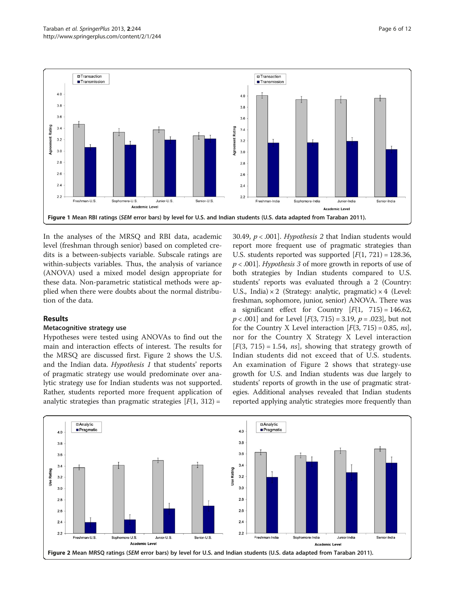<span id="page-5-0"></span>

In the analyses of the MRSQ and RBI data, academic level (freshman through senior) based on completed credits is a between-subjects variable. Subscale ratings are within-subjects variables. Thus, the analysis of variance (ANOVA) used a mixed model design appropriate for these data. Non-parametric statistical methods were applied when there were doubts about the normal distribution of the data.

## Results

#### Metacognitive strategy use

Hypotheses were tested using ANOVAs to find out the main and interaction effects of interest. The results for the MRSQ are discussed first. Figure 2 shows the U.S. and the Indian data. Hypothesis 1 that students' reports of pragmatic strategy use would predominate over analytic strategy use for Indian students was not supported. Rather, students reported more frequent application of analytic strategies than pragmatic strategies  $F(1, 312) =$ 

30.49,  $p < .001$ ]. Hypothesis 2 that Indian students would report more frequent use of pragmatic strategies than U.S. students reported was supported  $[F(1, 721) = 128.36,$  $p < .001$ . Hypothesis 3 of more growth in reports of use of both strategies by Indian students compared to U.S. students' reports was evaluated through a 2 (Country: U.S., India)  $\times$  2 (Strategy: analytic, pragmatic)  $\times$  4 (Level: freshman, sophomore, junior, senior) ANOVA. There was a significant effect for Country  $[F(1, 715) = 146.62,$  $p < .001$  and for Level  $[F(3, 715) = 3.19, p = .023]$ , but not for the Country X Level interaction  $[F(3, 715) = 0.85, ns]$ , nor for the Country X Strategy X Level interaction  $[F(3, 715) = 1.54, ns]$ , showing that strategy growth of Indian students did not exceed that of U.S. students. An examination of Figure 2 shows that strategy-use growth for U.S. and Indian students was due largely to students' reports of growth in the use of pragmatic strategies. Additional analyses revealed that Indian students reported applying analytic strategies more frequently than

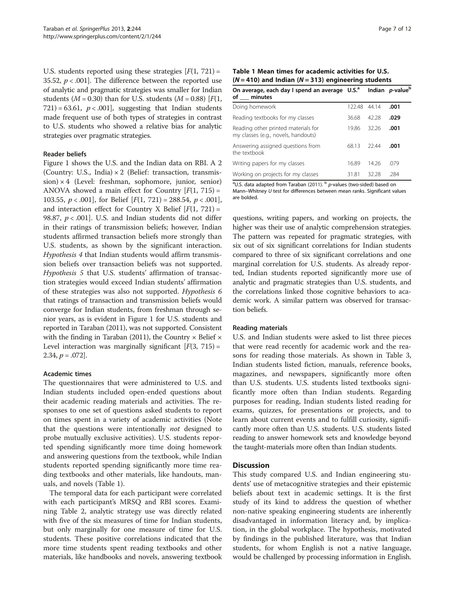U.S. students reported using these strategies  $[F(1, 721) =$ 35.52,  $p < .001$ ]. The difference between the reported use of analytic and pragmatic strategies was smaller for Indian students ( $M = 0.30$ ) than for U.S. students ( $M = 0.88$ ) [ $F(1, 1)$ ]  $721$ ) = 63.61,  $p < .001$ ], suggesting that Indian students made frequent use of both types of strategies in contrast to U.S. students who showed a relative bias for analytic strategies over pragmatic strategies.

#### Reader beliefs

Figure [1](#page-5-0) shows the U.S. and the Indian data on RBI. A 2 (Country: U.S., India)  $\times$  2 (Belief: transaction, transmis $sion) \times 4$  (Level: freshman, sophomore, junior, senior) ANOVA showed a main effect for Country  $[F(1, 715) =$ 103.55,  $p < .001$ , for Belief  $[F(1, 721) = 288.54, p < .001]$ , and interaction effect for Country X Belief  $[F(1, 721) =$ 98.87,  $p < .001$ ]. U.S. and Indian students did not differ in their ratings of transmission beliefs; however, Indian students affirmed transaction beliefs more strongly than U.S. students, as shown by the significant interaction. Hypothesis 4 that Indian students would affirm transmission beliefs over transaction beliefs was not supported. Hypothesis 5 that U.S. students' affirmation of transaction strategies would exceed Indian students' affirmation of these strategies was also not supported. Hypothesis 6 that ratings of transaction and transmission beliefs would converge for Indian students, from freshman through senior years, as is evident in Figure [1](#page-5-0) for U.S. students and reported in Taraban [\(2011](#page-11-0)), was not supported. Consistent with the finding in Taraban ([2011\)](#page-11-0), the Country  $\times$  Belief  $\times$ Level interaction was marginally significant  $[F(3, 715) =$ 2.34,  $p = .072$ .

## Academic times

The questionnaires that were administered to U.S. and Indian students included open-ended questions about their academic reading materials and activities. The responses to one set of questions asked students to report on times spent in a variety of academic activities (Note that the questions were intentionally not designed to probe mutually exclusive activities). U.S. students reported spending significantly more time doing homework and answering questions from the textbook, while Indian students reported spending significantly more time reading textbooks and other materials, like handouts, manuals, and novels (Table 1).

The temporal data for each participant were correlated with each participant's MRSQ and RBI scores. Examining Table [2,](#page-7-0) analytic strategy use was directly related with five of the six measures of time for Indian students, but only marginally for one measure of time for U.S. students. These positive correlations indicated that the more time students spent reading textbooks and other materials, like handbooks and novels, answering textbook

#### Table 1 Mean times for academic activities for U.S.  $(N = 410)$  and Indian  $(N = 313)$  engineering students

| On average, each day I spend an average U.S. <sup>a</sup><br>of minutes    |        |       | Indian p-value <sup>b</sup> |
|----------------------------------------------------------------------------|--------|-------|-----------------------------|
| Doing homework                                                             | 122.48 | 44 14 | .001                        |
| Reading textbooks for my classes                                           | 36.68  | 42.28 | .029                        |
| Reading other printed materials for<br>my classes (e.g., novels, handouts) | 19.86  | 3226  | .001                        |
| Answering assigned questions from<br>the textbook                          | 68.13  | 22.44 | .001                        |
| Writing papers for my classes                                              | 16.89  | 14.26 | .079                        |
| Working on projects for my classes                                         | 31.81  | 32.28 | .284                        |

<sup>a</sup>U.S. data adapted from Taraban [\(2011\)](#page-11-0). <sup>b</sup> p-values (two-sided) based on<br>Mann-Whitney *U* test for differences between mean ranks. Significant va

Mann–Whitney U test for differences between mean ranks. Significant values are bolded.

questions, writing papers, and working on projects, the higher was their use of analytic comprehension strategies. The pattern was repeated for pragmatic strategies, with six out of six significant correlations for Indian students compared to three of six significant correlations and one marginal correlation for U.S. students. As already reported, Indian students reported significantly more use of analytic and pragmatic strategies than U.S. students, and the correlations linked those cognitive behaviors to academic work. A similar pattern was observed for transaction beliefs.

#### Reading materials

U.S. and Indian students were asked to list three pieces that were read recently for academic work and the reasons for reading those materials. As shown in Table [3](#page-8-0), Indian students listed fiction, manuals, reference books, magazines, and newspapers, significantly more often than U.S. students. U.S. students listed textbooks significantly more often than Indian students. Regarding purposes for reading, Indian students listed reading for exams, quizzes, for presentations or projects, and to learn about current events and to fulfill curiosity, significantly more often than U.S. students. U.S. students listed reading to answer homework sets and knowledge beyond the taught-materials more often than Indian students.

#### **Discussion**

This study compared U.S. and Indian engineering students' use of metacognitive strategies and their epistemic beliefs about text in academic settings. It is the first study of its kind to address the question of whether non-native speaking engineering students are inherently disadvantaged in information literacy and, by implication, in the global workplace. The hypothesis, motivated by findings in the published literature, was that Indian students, for whom English is not a native language, would be challenged by processing information in English.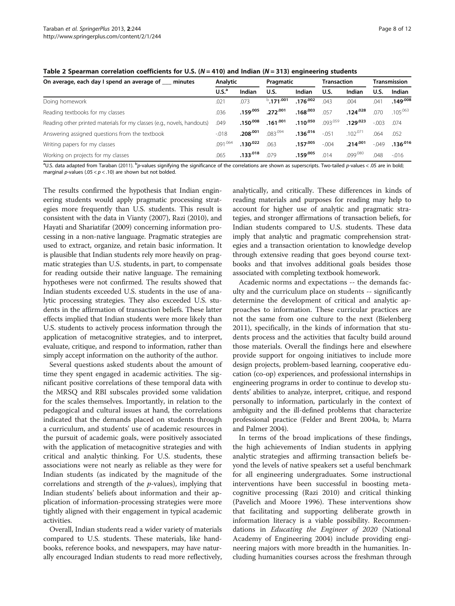<span id="page-7-0"></span>

| Table 2 Spearman correlation coefficients for U.S. ( $N = 410$ ) and Indian ( $N = 313$ ) engineering students |  |  |  |
|----------------------------------------------------------------------------------------------------------------|--|--|--|
|----------------------------------------------------------------------------------------------------------------|--|--|--|

| On average, each day I spend an average of <u>minutes</u>               | Analytic          |                  | Pragmatic                   |               | Transaction      |               | <b>Transmission</b> |               |
|-------------------------------------------------------------------------|-------------------|------------------|-----------------------------|---------------|------------------|---------------|---------------------|---------------|
|                                                                         | U.S. <sup>a</sup> | Indian           | U.S.                        | Indian        | U.S.             | Indian        | U.S.                | Indian        |
| Doing homework                                                          | .021              | .073             | $^{b}$ .171 <sup>.001</sup> | $.176^{.002}$ | .043             | .004          | .041                | $.149^{.008}$ |
| Reading textbooks for my classes                                        | .036              | $.159^{.005}$    | $.272^{.001}$               | $.168^{.003}$ | .057             | $.124^{.028}$ | .070                | $.105^{.063}$ |
| Reading other printed materials for my classes (e.g., novels, handouts) | .049              | $.150^{.008}$    | $.161^{.001}$               | $.110^{.050}$ | $.093 \cdot 059$ | $.129^{.023}$ | $-003$              | 074           |
| Answering assigned questions from the textbook                          | $-0.018$          | $.208^{.001}$    | $.083^{.094}$               | $.136^{.016}$ | $-0.51$          | $.102^{.071}$ | .064                | .052          |
| Writing papers for my classes                                           | 091.064           | $.130^{.022}$    | .063                        | $.157^{.005}$ | $-0.04$          | $.214^{.001}$ | $-0.049$            | $.136^{.016}$ |
| Working on projects for my classes                                      | .065              | $.133 \cdot 018$ | .079                        | $.159^{.005}$ | .014             | 099.080       | .048                | $-016$        |

<sup>a</sup>U.S. data adapted from Taraban [\(2011](#page-11-0)). <sup>b</sup>p-values signifying the significance of the correlations are shown as superscripts. Two-tailed p-values < .05 are in bold;<br>marginal p-values (.05 < n < .10) are shown but pot bo marginal p-values (.05  $<$  p  $<$  .10) are shown but not bolded.

The results confirmed the hypothesis that Indian engineering students would apply pragmatic processing strategies more frequently than U.S. students. This result is consistent with the data in Vianty [\(2007](#page-11-0)), Razi [\(2010\)](#page-11-0), and Hayati and Shariatifar [\(2009](#page-11-0)) concerning information processing in a non-native language. Pragmatic strategies are used to extract, organize, and retain basic information. It is plausible that Indian students rely more heavily on pragmatic strategies than U.S. students, in part, to compensate for reading outside their native language. The remaining hypotheses were not confirmed. The results showed that Indian students exceeded U.S. students in the use of analytic processing strategies. They also exceeded U.S. students in the affirmation of transaction beliefs. These latter effects implied that Indian students were more likely than U.S. students to actively process information through the application of metacognitive strategies, and to interpret, evaluate, critique, and respond to information, rather than simply accept information on the authority of the author.

Several questions asked students about the amount of time they spent engaged in academic activities. The significant positive correlations of these temporal data with the MRSQ and RBI subscales provided some validation for the scales themselves. Importantly, in relation to the pedagogical and cultural issues at hand, the correlations indicated that the demands placed on students through a curriculum, and students' use of academic resources in the pursuit of academic goals, were positively associated with the application of metacognitive strategies and with critical and analytic thinking. For U.S. students, these associations were not nearly as reliable as they were for Indian students (as indicated by the magnitude of the correlations and strength of the  $p$ -values), implying that Indian students' beliefs about information and their application of information-processing strategies were more tightly aligned with their engagement in typical academic activities.

Overall, Indian students read a wider variety of materials compared to U.S. students. These materials, like handbooks, reference books, and newspapers, may have naturally encouraged Indian students to read more reflectively,

analytically, and critically. These differences in kinds of reading materials and purposes for reading may help to account for higher use of analytic and pragmatic strategies, and stronger affirmations of transaction beliefs, for Indian students compared to U.S. students. These data imply that analytic and pragmatic comprehension strategies and a transaction orientation to knowledge develop through extensive reading that goes beyond course textbooks and that involves additional goals besides those associated with completing textbook homework.

Academic norms and expectations -- the demands faculty and the curriculum place on students -- significantly determine the development of critical and analytic approaches to information. These curricular practices are not the same from one culture to the next (Bielenberg [2011](#page-10-0)), specifically, in the kinds of information that students process and the activities that faculty build around those materials. Overall the findings here and elsewhere provide support for ongoing initiatives to include more design projects, problem-based learning, cooperative education (co-op) experiences, and professional internships in engineering programs in order to continue to develop students' abilities to analyze, interpret, critique, and respond personally to information, particularly in the context of ambiguity and the ill-defined problems that characterize professional practice (Felder and Brent [2004a](#page-10-0), [b](#page-11-0); Marra and Palmer [2004](#page-11-0)).

In terms of the broad implications of these findings, the high achievements of Indian students in applying analytic strategies and affirming transaction beliefs beyond the levels of native speakers set a useful benchmark for all engineering undergraduates. Some instructional interventions have been successful in boosting metacognitive processing (Razi [2010\)](#page-11-0) and critical thinking (Pavelich and Moore [1996\)](#page-11-0). These interventions show that facilitating and supporting deliberate growth in information literacy is a viable possibility. Recommendations in Educating the Engineer of 2020 (National Academy of Engineering [2004](#page-11-0)) include providing engineering majors with more breadth in the humanities. Including humanities courses across the freshman through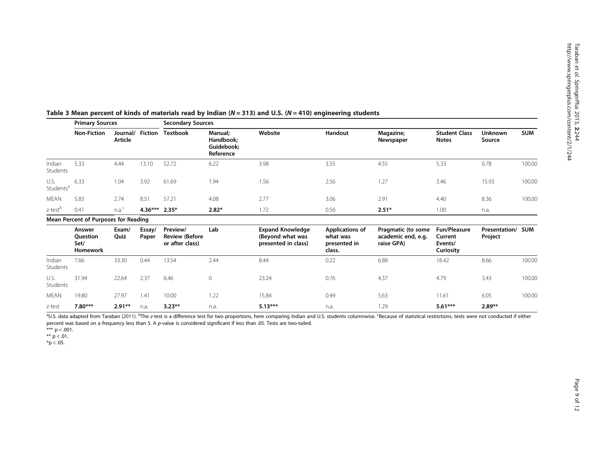|                               | <b>Primary Sources</b>               |                     |                 |                 | <b>Secondary Sources</b>                        |         |         |                        |                                      |                          |            |  |
|-------------------------------|--------------------------------------|---------------------|-----------------|-----------------|-------------------------------------------------|---------|---------|------------------------|--------------------------------------|--------------------------|------------|--|
|                               | <b>Non-Fiction</b>                   | Journal/<br>Article | Fiction         | <b>Textbook</b> | Manual;<br>Handbook;<br>Guidebook;<br>Reference | Website | Handout | Magazine;<br>Newspaper | <b>Student Class</b><br><b>Notes</b> | <b>Unknown</b><br>Source | <b>SUM</b> |  |
| Indian<br>Students            | 5.33                                 | 4.44                | 13.10           | 52.72           | 6.22                                            | 3.98    | 3.55    | 4.55                   | 5.33                                 | 0.78                     | 100.00     |  |
| U.S.<br>Students <sup>a</sup> | 6.33                                 | 1.04                | 3.92            | 61.69           | 1.94                                            | 1.56    | 2.56    | 1.27                   | 3.46                                 | 15.93                    | 100.00     |  |
| <b>MEAN</b>                   | 5.83                                 | 2.74                | 8.51            | 57.21           | 4.08                                            | 2.77    | 3.06    | 2.91                   | 4.40                                 | 8.36                     | 100.00     |  |
| z-test <sup>D</sup>           | 0.41                                 | n.a.                | $4.36***$ 2.35* |                 | $2.82*$                                         | 1.72    | 0.56    | $2.51*$                | 1.00                                 | n.a.                     |            |  |
|                               | Mean Percent of Purposes for Reading |                     |                 |                 |                                                 |         |         |                        |                                      |                          |            |  |

#### <span id="page-8-0"></span>Table 3 Mean percent of kinds of materials read by Indian ( $N = 313$ ) and U.S. ( $N = 410$ ) engineering students

Answer Question Set/ Homework Exam/ Quiz Essay/ Paper Preview/ Review (Before or after class) Lab Expand Knowledge (Beyond what was presented in class) Applications of what was presented in class. Pragmatic (to some academic end, e.g. raise GPA) Fun/Pleasure Current Events/ Curiosity Presentation/ SUM Project Indian Students 7.66 33.30 0.44 13.54 2.44 8.44 0.22 6.88 18.42 8.66 100.00 U.S. Students 31.94 22.64 2.37 6.46 0 23.24 0.76 4.37 4.79 3.43 100.00 MEAN 19.80 27.97 1.41 10.00 1.22 15.84 0.49 5.63 11.61 6.05 100.00 z-test 7.80\*\*\* 2.91\*\* n.a. 3.23\*\* n.a. 5.13\*\*\* n.a. 1.29 5.61\*\*\* 2.89\*\*

<sup>a</sup>U.S. data adapted from Taraban [\(2011\)](#page-11-0). <sup>b</sup>The z-test is a difference test for two proportions, here comparing Indian and U.S. students columnwise. <sup>c</sup>Because of statistical restrictions, tests were not conducted if eith percent was based on a frequency less than 5. A p-value is considered significant if less than .05. Tests are two-tailed.

\*\*\*  $p < .001$ .

\*\*  $p < .01$ .

 $*_{p}$  < .05.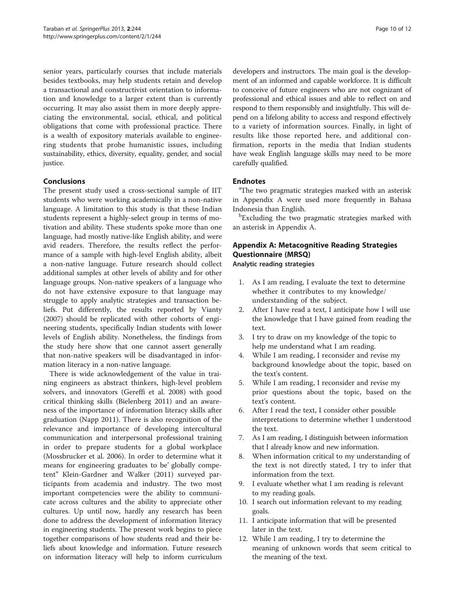<span id="page-9-0"></span>senior years, particularly courses that include materials besides textbooks, may help students retain and develop a transactional and constructivist orientation to information and knowledge to a larger extent than is currently occurring. It may also assist them in more deeply appreciating the environmental, social, ethical, and political obligations that come with professional practice. There is a wealth of expository materials available to engineering students that probe humanistic issues, including sustainability, ethics, diversity, equality, gender, and social justice.

## Conclusions

The present study used a cross-sectional sample of IIT students who were working academically in a non-native language. A limitation to this study is that these Indian students represent a highly-select group in terms of motivation and ability. These students spoke more than one language, had mostly native-like English ability, and were avid readers. Therefore, the results reflect the performance of a sample with high-level English ability, albeit a non-native language. Future research should collect additional samples at other levels of ability and for other language groups. Non-native speakers of a language who do not have extensive exposure to that language may struggle to apply analytic strategies and transaction beliefs. Put differently, the results reported by Vianty ([2007](#page-11-0)) should be replicated with other cohorts of engineering students, specifically Indian students with lower levels of English ability. Nonetheless, the findings from the study here show that one cannot assert generally that non-native speakers will be disadvantaged in information literacy in a non-native language.

There is wide acknowledgement of the value in training engineers as abstract thinkers, high-level problem solvers, and innovators (Gereffi et al. [2008](#page-11-0)) with good critical thinking skills (Bielenberg [2011\)](#page-10-0) and an awareness of the importance of information literacy skills after graduation (Napp [2011](#page-11-0)). There is also recognition of the relevance and importance of developing intercultural communication and interpersonal professional training in order to prepare students for a global workplace (Mossbrucker et al. [2006](#page-11-0)). In order to determine what it means for engineering graduates to be' globally competent" Klein-Gardner and Walker ([2011](#page-11-0)) surveyed participants from academia and industry. The two most important competencies were the ability to communicate across cultures and the ability to appreciate other cultures. Up until now, hardly any research has been done to address the development of information literacy in engineering students. The present work begins to piece together comparisons of how students read and their beliefs about knowledge and information. Future research on information literacy will help to inform curriculum

developers and instructors. The main goal is the development of an informed and capable workforce. It is difficult to conceive of future engineers who are not cognizant of professional and ethical issues and able to reflect on and respond to them responsibly and insightfully. This will depend on a lifelong ability to access and respond effectively to a variety of information sources. Finally, in light of results like those reported here, and additional confirmation, reports in the media that Indian students have weak English language skills may need to be more carefully qualified.

## **Endnotes**

<sup>a</sup>The two pragmatic strategies marked with an asterisk in Appendix A were used more frequently in Bahasa Indonesia than English.

<sup>b</sup>Excluding the two pragmatic strategies marked with an asterisk in Appendix A.

## Appendix A: Metacognitive Reading Strategies Questionnaire (MRSQ) Analytic reading strategies

- 1. As I am reading, I evaluate the text to determine whether it contributes to my knowledge/ understanding of the subject.
- 2. After I have read a text, I anticipate how I will use the knowledge that I have gained from reading the text.
- 3. I try to draw on my knowledge of the topic to help me understand what I am reading.
- 4. While I am reading, I reconsider and revise my background knowledge about the topic, based on the text's content.
- 5. While I am reading, I reconsider and revise my prior questions about the topic, based on the text's content.
- 6. After I read the text, I consider other possible interpretations to determine whether I understood the text.
- 7. As I am reading, I distinguish between information that I already know and new information.
- 8. When information critical to my understanding of the text is not directly stated, I try to infer that information from the text.
- 9. I evaluate whether what I am reading is relevant to my reading goals.
- 10. I search out information relevant to my reading goals.
- 11. I anticipate information that will be presented later in the text.
- 12. While I am reading, I try to determine the meaning of unknown words that seem critical to the meaning of the text.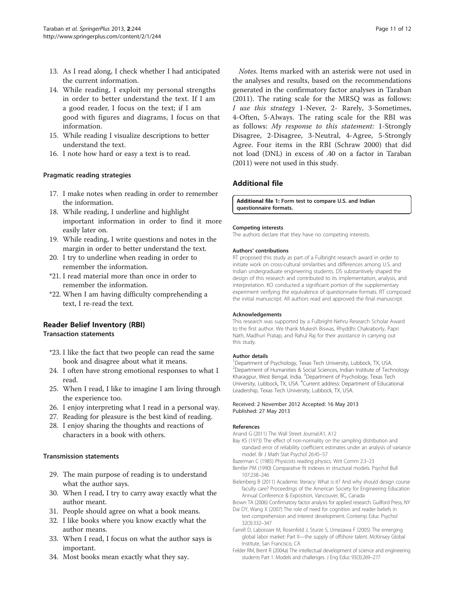- <span id="page-10-0"></span>13. As I read along, I check whether I had anticipated the current information.
- 14. While reading, I exploit my personal strengths in order to better understand the text. If I am a good reader, I focus on the text; if I am good with figures and diagrams, I focus on that information.
- 15. While reading I visualize descriptions to better understand the text.
- 16. I note how hard or easy a text is to read.

## Pragmatic reading strategies

- 17. I make notes when reading in order to remember the information.
- 18. While reading, I underline and highlight important information in order to find it more easily later on.
- 19. While reading, I write questions and notes in the margin in order to better understand the text.
- 20. I try to underline when reading in order to remember the information.
- \*21. I read material more than once in order to remember the information.
- \*22. When I am having difficulty comprehending a text, I re-read the text.

## Reader Belief Inventory (RBI)

## Transaction statements

- \*23. I like the fact that two people can read the same book and disagree about what it means.
- 24. I often have strong emotional responses to what I read.
- 25. When I read, I like to imagine I am living through the experience too.
- 26. I enjoy interpreting what I read in a personal way.
- 27. Reading for pleasure is the best kind of reading.
- 28. I enjoy sharing the thoughts and reactions of characters in a book with others.

## Transmission statements

- 29. The main purpose of reading is to understand what the author says.
- 30. When I read, I try to carry away exactly what the author meant.
- 31. People should agree on what a book means.
- 32. I like books where you know exactly what the author means.
- 33. When I read, I focus on what the author says is important.
- 34. Most books mean exactly what they say.

Notes. Items marked with an asterisk were not used in the analyses and results, based on the recommendations generated in the confirmatory factor analyses in Taraban ([2011\)](#page-11-0). The rating scale for the MRSQ was as follows: I use this strategy 1-Never, 2- Rarely, 3-Sometimes, 4-Often, 5-Always. The rating scale for the RBI was as follows: My response to this statement: 1-Strongly Disagree, 2-Disagree, 3-Neutral, 4-Agree, 5-Strongly Agree. Four items in the RBI (Schraw [2000](#page-11-0)) that did not load (DNL) in excess of .40 on a factor in Taraban ([2011](#page-11-0)) were not used in this study.

## Additional file

[Additional file 1:](http://www.biomedcentral.com/content/supplementary/2193-1801-2-244-S1.doc) Form test to compare U.S. and Indian questionnaire formats.

#### Competing interests

The authors declare that they have no competing interests.

#### Authors' contributions

RT proposed this study as part of a Fulbright research award in order to initiate work on cross-cultural similarities and differences among U.S. and Indian undergraduate engineering students. DS substantively shaped the design of this research and contributed to its implementation, analysis, and interpretation. KO conducted a significant portion of the supplementary experiment verifying the equivalence of questionnaire formats. RT composed the initial manuscript. All authors read and approved the final manuscript.

#### Acknowledgements

This research was supported by a Fulbright-Nehru Research Scholar Award to the first author. We thank Mukesh Biswas, Rhyddhi Chakraborty, Papri Nath, Madhuri Pratap, and Rahul Raj for their assistance in carrying out this study.

#### Author details

<sup>1</sup>Department of Psychology, Texas Tech University, Lubbock, TX, USA. <sup>2</sup>Department of Humanities & Social Sciences, Indian Institute of Technology Kharagpur, West Bengal, India. <sup>3</sup>Department of Psychology, Texas Tech<br>University, Lubbock, TX, USA. <sup>4</sup>Current address: Department of Educational Leadership, Texas Tech University, Lubbock, TX, USA.

#### Received: 2 November 2012 Accepted: 16 May 2013 Published: 27 May 2013

#### References

- Anand G (2011) The Wall Street Journal:A1, A12
- Bay KS (1973) The effect of non-normality on the sampling distribution and standard error of reliability coefficient estimates under an analysis of variance model. Br J Math Stat Psychol 26:45–57
- Bazerman C (1985) Physicists reading physics. Writ Comm 2:3–23
- Bentler PM (1990) Comparative fit indexes in structural models. Psychol Bull 107:238–246
- Bielenberg B (2011) Academic literacy: What is it? And why should design course faculty care? Proceedings of the American Society for Engineering Education Annual Conference & Exposition, Vancouver, BC, Canada
- Brown TA (2006) Confirmatory factor analysis for applied research. Guilford Press, NY Dai DY, Wang X (2007) The role of need for cognition and reader beliefs in
- text comprehension and interest development. Contemp Educ Psychol 32(3):332–347
- Farrell D, Laboissier M, Rosenfeld J, Sturze S, Umezawa F (2005) The emerging global labor market: Part II—the supply of offshore talent. McKinsey Global Institute, San Francisco, CA
- Felder RM, Brent R (2004a) The intellectual development of science and engineering students Part 1: Models and challenges. J Eng Educ 93(3):269–277